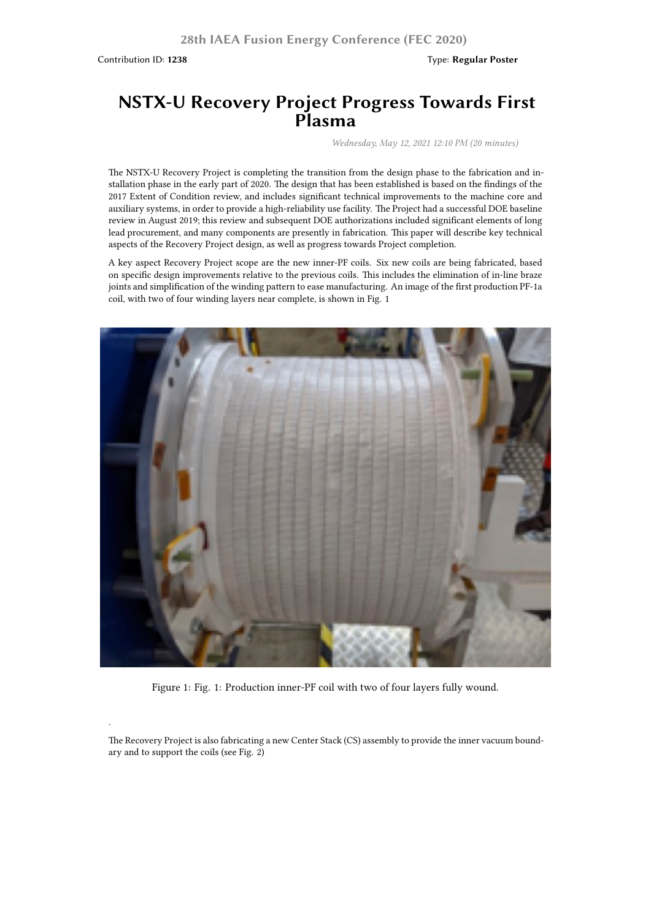Contribution ID: **1238** Type: **Regular Poster**

.

## **NSTX-U Recovery Project Progress Towards First Plasma**

*Wednesday, May 12, 2021 12:10 PM (20 minutes)*

The NSTX-U Recovery Project is completing the transition from the design phase to the fabrication and installation phase in the early part of 2020. The design that has been established is based on the findings of the 2017 Extent of Condition review, and includes significant technical improvements to the machine core and auxiliary systems, in order to provide a high-reliability use facility. The Project had a successful DOE baseline review in August 2019; this review and subsequent DOE authorizations included significant elements of long lead procurement, and many components are presently in fabrication. This paper will describe key technical aspects of the Recovery Project design, as well as progress towards Project completion.

A key aspect Recovery Project scope are the new inner-PF coils. Six new coils are being fabricated, based on specific design improvements relative to the previous coils. This includes the elimination of in-line braze joints and simplification of the winding pattern to ease manufacturing. An image of the first production PF-1a coil, with two of four winding layers near complete, is shown in Fig. 1



Figure 1: Fig. 1: Production inner-PF coil with two of four layers fully wound.

The Recovery Project is also fabricating a new Center Stack (CS) assembly to provide the inner vacuum boundary and to support the coils (see Fig. 2)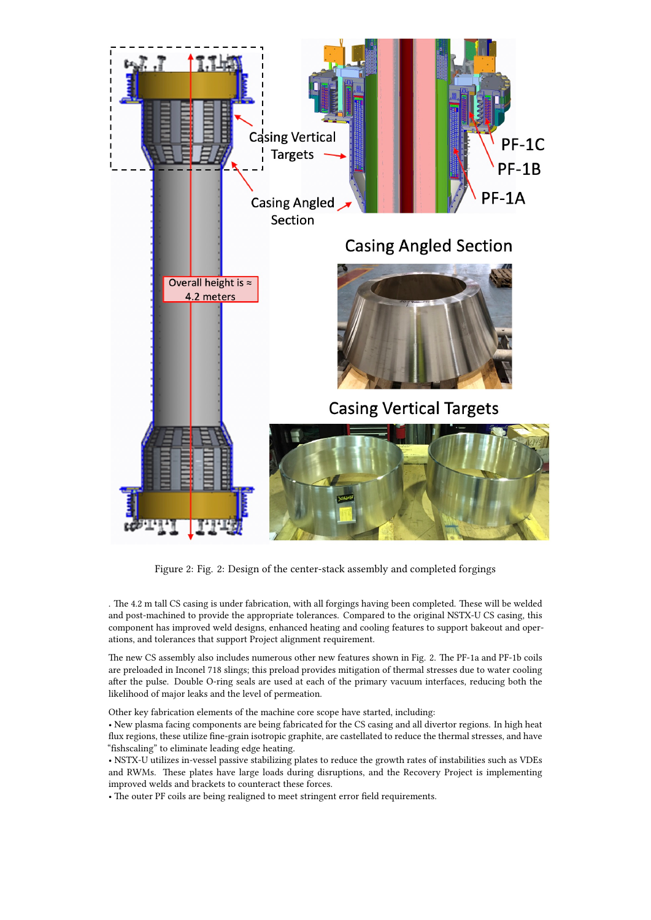

Figure 2: Fig. 2: Design of the center-stack assembly and completed forgings

. The 4.2 m tall CS casing is under fabrication, with all forgings having been completed. These will be welded and post-machined to provide the appropriate tolerances. Compared to the original NSTX-U CS casing, this component has improved weld designs, enhanced heating and cooling features to support bakeout and operations, and tolerances that support Project alignment requirement.

The new CS assembly also includes numerous other new features shown in Fig. 2. The PF-1a and PF-1b coils are preloaded in Inconel 718 slings; this preload provides mitigation of thermal stresses due to water cooling after the pulse. Double O-ring seals are used at each of the primary vacuum interfaces, reducing both the likelihood of major leaks and the level of permeation.

Other key fabrication elements of the machine core scope have started, including:

• New plasma facing components are being fabricated for the CS casing and all divertor regions. In high heat flux regions, these utilize fine-grain isotropic graphite, are castellated to reduce the thermal stresses, and have "fishscaling" to eliminate leading edge heating.

• NSTX-U utilizes in-vessel passive stabilizing plates to reduce the growth rates of instabilities such as VDEs and RWMs. These plates have large loads during disruptions, and the Recovery Project is implementing improved welds and brackets to counteract these forces.

• The outer PF coils are being realigned to meet stringent error field requirements.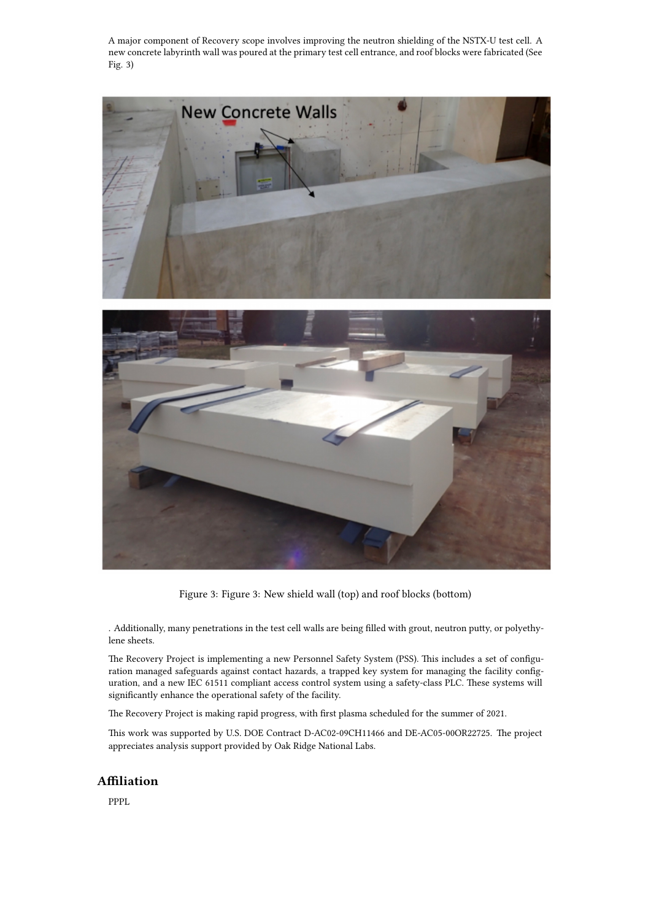A major component of Recovery scope involves improving the neutron shielding of the NSTX-U test cell. A new concrete labyrinth wall was poured at the primary test cell entrance, and roof blocks were fabricated (See Fig. 3)



Figure 3: Figure 3: New shield wall (top) and roof blocks (bottom)

. Additionally, many penetrations in the test cell walls are being filled with grout, neutron putty, or polyethylene sheets.

The Recovery Project is implementing a new Personnel Safety System (PSS). This includes a set of configuration managed safeguards against contact hazards, a trapped key system for managing the facility configuration, and a new IEC 61511 compliant access control system using a safety-class PLC. These systems will significantly enhance the operational safety of the facility.

The Recovery Project is making rapid progress, with first plasma scheduled for the summer of 2021.

This work was supported by U.S. DOE Contract D-AC02-09CH11466 and DE-AC05-00OR22725. The project appreciates analysis support provided by Oak Ridge National Labs.

## **Affiliation**

PPPL